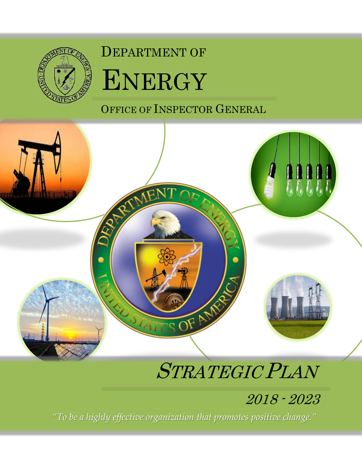

## DEPARTMENT OF



OFFICE OF INSPECTOR GENERAL



# STRATEGIC PLAN

## 2018 - 2023

*"To be a highly effective organization that promotes positive change."*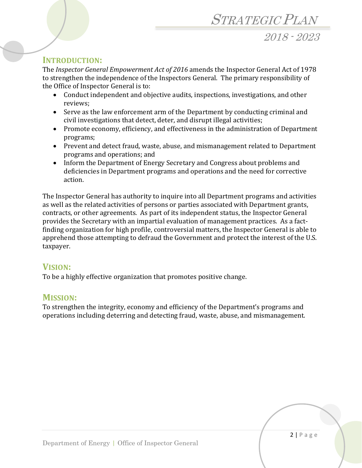### STRATEGIC PLAN

2018 - 2023

#### **INTRODUCTION:**

The *Inspector General Empowerment Act of 2016* amends the Inspector General Act of 1978 to strengthen the independence of the Inspectors General. The primary responsibility of the Office of Inspector General is to:

- Conduct independent and objective audits, inspections, investigations, and other reviews;
- Serve as the law enforcement arm of the Department by conducting criminal and civil investigations that detect, deter, and disrupt illegal activities;
- Promote economy, efficiency, and effectiveness in the administration of Department programs;
- Prevent and detect fraud, waste, abuse, and mismanagement related to Department programs and operations; and
- Inform the Department of Energy Secretary and Congress about problems and deficiencies in Department programs and operations and the need for corrective action.

The Inspector General has authority to inquire into all Department programs and activities as well as the related activities of persons or parties associated with Department grants, contracts, or other agreements. As part of its independent status, the Inspector General provides the Secretary with an impartial evaluation of management practices. As a factfinding organization for high profile, controversial matters, the Inspector General is able to apprehend those attempting to defraud the Government and protect the interest of the U.S. taxpayer.

#### **VISION:**

To be a highly effective organization that promotes positive change.

#### **MISSION:**

To strengthen the integrity, economy and efficiency of the Department's programs and operations including deterring and detecting fraud, waste, abuse, and mismanagement.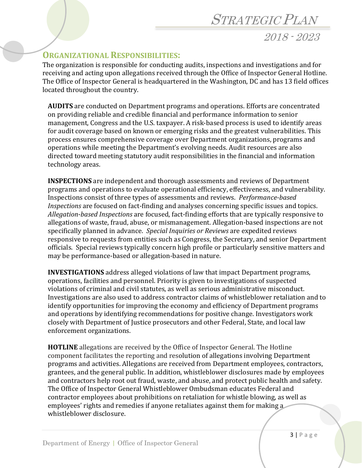### STRATEGIC PLAN

2018 - 2023

#### **ORGANIZATIONAL RESPONSIBILITIES:**

The organization is responsible for conducting audits, inspections and investigations and for receiving and acting upon allegations received through the Office of Inspector General Hotline. The Office of Inspector General is headquartered in the Washington, DC and has 13 field offices located throughout the country.

**AUDITS** are conducted on Department programs and operations. Efforts are concentrated on providing reliable and credible financial and performance information to senior management, Congress and the U.S. taxpayer. A risk-based process is used to identify areas for audit coverage based on known or emerging risks and the greatest vulnerabilities. This process ensures comprehensive coverage over Department organizations, programs and operations while meeting the Department's evolving needs. Audit resources are also directed toward meeting statutory audit responsibilities in the financial and information technology areas.

**INSPECTIONS** are independent and thorough assessments and reviews of Department programs and operations to evaluate operational efficiency, effectiveness, and vulnerability. Inspections consist of three types of assessments and reviews. *Performance-based Inspections* are focused on fact-finding and analyses concerning specific issues and topics. *Allegation-based Inspections* are focused, fact-finding efforts that are typically responsive to allegations of waste, fraud, abuse, or mismanagement. Allegation-based inspections are not specifically planned in advance. *Special Inquiries or Reviews* are expedited reviews responsive to requests from entities such as Congress, the Secretary, and senior Department officials. Special reviews typically concern high profile or particularly sensitive matters and may be performance-based or allegation-based in nature.

**INVESTIGATIONS** address alleged violations of law that impact Department programs, operations, facilities and personnel. Priority is given to investigations of suspected violations of criminal and civil statutes, as well as serious administrative misconduct. Investigations are also used to address contractor claims of whistleblower retaliation and to identify opportunities for improving the economy and efficiency of Department programs and operations by identifying recommendations for positive change. Investigators work closely with Department of Justice prosecutors and other Federal, State, and local law enforcement organizations.

**HOTLINE** allegations are received by the Office of Inspector General. The Hotline component facilitates the reporting and resolution of allegations involving Department programs and activities. Allegations are received from Department employees, contractors, grantees, and the general public. In addition, whistleblower disclosures made by employees and contractors help root out fraud, waste, and abuse, and protect public health and safety. The Office of Inspector General Whistleblower Ombudsman educates Federal and contractor employees about prohibitions on retaliation for whistle blowing, as well as employees' rights and remedies if anyone retaliates against them for making a whistleblower disclosure.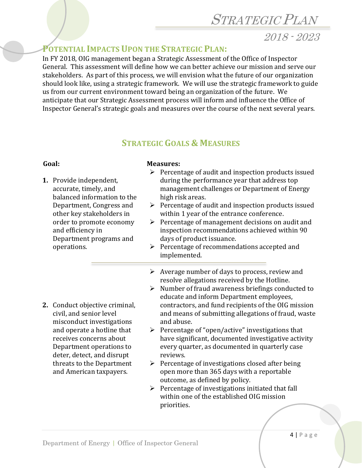### STRATEGIC PLAN

2018 - 2023

#### **POTENTIAL IMPACTS UPON THE STRATEGIC PLAN:**

In FY 2018, OIG management began a Strategic Assessment of the Office of Inspector General. This assessment will define how we can better achieve our mission and serve our stakeholders. As part of this process, we will envision what the future of our organization should look like, using a strategic framework. We will use the strategic framework to guide us from our current environment toward being an organization of the future. We anticipate that our Strategic Assessment process will inform and influence the Office of Inspector General's strategic goals and measures over the course of the next several years.

#### **STRATEGIC GOALS & MEASURES**

#### **Goal: Measures:**

| 1. Provide independent,<br>accurate, timely, and<br>balanced information to the<br>Department, Congress and<br>other key stakeholders in<br>order to promote economy<br>and efficiency in<br>Department programs and<br>operations.                               | ➤<br>➤      | $\triangleright$ Percentage of audit and inspection products issued<br>during the performance year that address top<br>management challenges or Department of Energy<br>high risk areas.<br>Percentage of audit and inspection products issued<br>within 1 year of the entrance conference.<br>$\triangleright$ Percentage of management decisions on audit and<br>inspection recommendations achieved within 90<br>days of product issuance.<br>Percentage of recommendations accepted and<br>implemented.                                                                                                                                          |
|-------------------------------------------------------------------------------------------------------------------------------------------------------------------------------------------------------------------------------------------------------------------|-------------|------------------------------------------------------------------------------------------------------------------------------------------------------------------------------------------------------------------------------------------------------------------------------------------------------------------------------------------------------------------------------------------------------------------------------------------------------------------------------------------------------------------------------------------------------------------------------------------------------------------------------------------------------|
| 2. Conduct objective criminal,<br>civil, and senior level<br>misconduct investigations<br>and operate a hotline that<br>receives concerns about<br>Department operations to<br>deter, detect, and disrupt<br>threats to the Department<br>and American taxpayers. | ➤<br>➤<br>➤ | Average number of days to process, review and<br>resolve allegations received by the Hotline.<br>Number of fraud awareness briefings conducted to<br>educate and inform Department employees,<br>contractors, and fund recipients of the OIG mission<br>and means of submitting allegations of fraud, waste<br>and abuse.<br>$\triangleright$ Percentage of "open/active" investigations that<br>have significant, documented investigative activity<br>every quarter, as documented in quarterly case<br>reviews.<br>Percentage of investigations closed after being<br>open more than 365 days with a reportable<br>outcome, as defined by policy. |
|                                                                                                                                                                                                                                                                   |             | $\triangleright$ December of investigations initiated that foll                                                                                                                                                                                                                                                                                                                                                                                                                                                                                                                                                                                      |

 Percentage of investigations initiated that fall within one of the established OIG mission priorities.